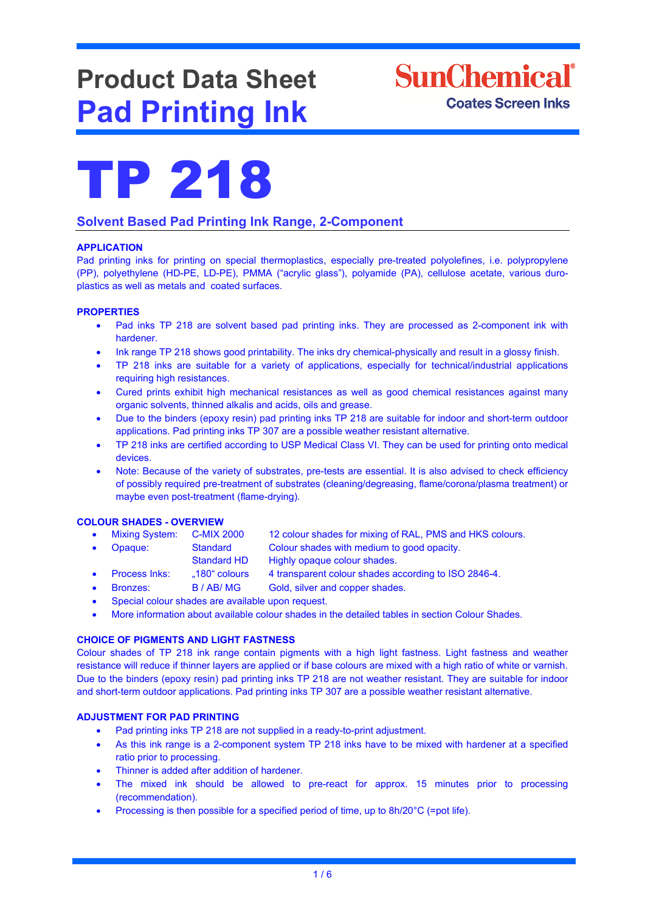# **Product Data Sheet Pad Printing Ink**





# **Solvent Based Pad Printing Ink Range, 2-Component**

# **APPLICATION**

Pad printing inks for printing on special thermoplastics, especially pre-treated polyolefines, i.e. polypropylene (PP), polyethylene (HD-PE, LD-PE), PMMA ("acrylic glass"), polyamide (PA), cellulose acetate, various duroplastics as well as metals and coated surfaces.

# **PROPERTIES**

- Pad inks TP 218 are solvent based pad printing inks. They are processed as 2-component ink with hardener.
- Ink range TP 218 shows good printability. The inks dry chemical-physically and result in a glossy finish.
- TP 218 inks are suitable for a variety of applications, especially for technical/industrial applications requiring high resistances.
- Cured prints exhibit high mechanical resistances as well as good chemical resistances against many organic solvents, thinned alkalis and acids, oils and grease.
- Due to the binders (epoxy resin) pad printing inks TP 218 are suitable for indoor and short-term outdoor applications. Pad printing inks TP 307 are a possible weather resistant alternative.
- TP 218 inks are certified according to USP Medical Class VI. They can be used for printing onto medical devices.
- Note: Because of the variety of substrates, pre-tests are essential. It is also advised to check efficiency of possibly required pre-treatment of substrates (cleaning/degreasing, flame/corona/plasma treatment) or maybe even post-treatment (flame-drying).

# **COLOUR SHADES - OVERVIEW**

| • Mixing System: C-MIX 2000 |                    | 12 colour shades for mixing of RAL, PMS and HKS colours.            |
|-----------------------------|--------------------|---------------------------------------------------------------------|
| • Opaque:                   | Standard           | Colour shades with medium to good opacity.                          |
|                             | <b>Standard HD</b> | Highly opaque colour shades.                                        |
| . Drogoga Inkor             | $1004$ onloura     | $\Lambda$ transparant soleur shades assording to ICO 2946 $\Lambda$ |

- Process Inks: "180" colours 4 transparent colour shades according to ISO 2846-4.
- Bronzes: B / AB/ MG Gold, silver and copper shades.
- Special colour shades are available upon request.
- More information about available colour shades in the detailed tables in section Colour Shades.

# **CHOICE OF PIGMENTS AND LIGHT FASTNESS**

Colour shades of TP 218 ink range contain pigments with a high light fastness. Light fastness and weather resistance will reduce if thinner layers are applied or if base colours are mixed with a high ratio of white or varnish. Due to the binders (epoxy resin) pad printing inks TP 218 are not weather resistant. They are suitable for indoor and short-term outdoor applications. Pad printing inks TP 307 are a possible weather resistant alternative.

# **ADJUSTMENT FOR PAD PRINTING**

- Pad printing inks TP 218 are not supplied in a ready-to-print adjustment.
- As this ink range is a 2-component system TP 218 inks have to be mixed with hardener at a specified ratio prior to processing.
- Thinner is added after addition of hardener.
- The mixed ink should be allowed to pre-react for approx. 15 minutes prior to processing (recommendation).
- Processing is then possible for a specified period of time, up to 8h/20°C (=pot life).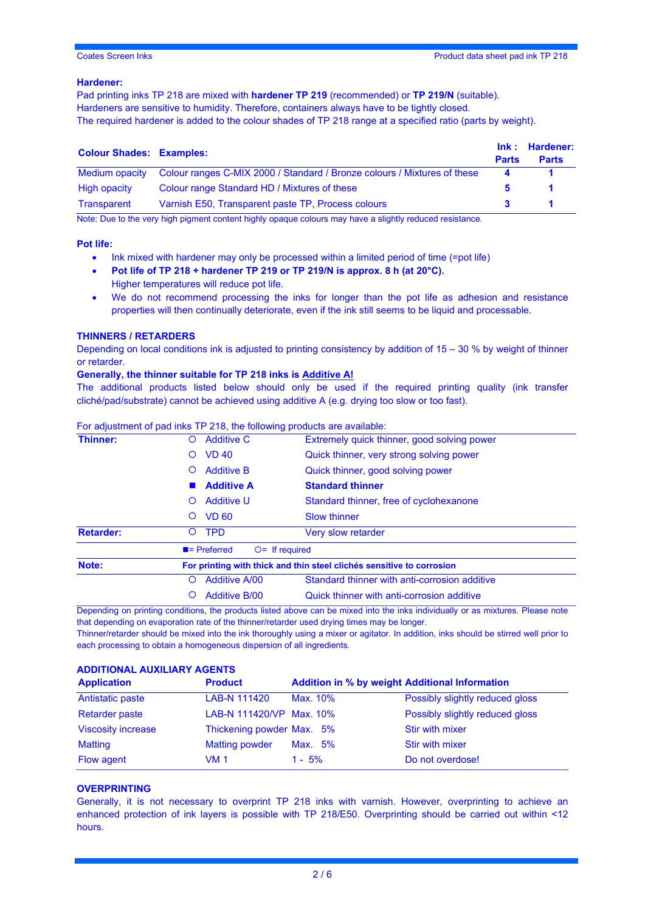# **Hardener:**

Pad printing inks TP 218 are mixed with **hardener TP 219** (recommended) or **TP 219/N** (suitable). Hardeners are sensitive to humidity. Therefore, containers always have to be tightly closed. The required hardener is added to the colour shades of TP 218 range at a specified ratio (parts by weight).

| <b>Colour Shades: Examples:</b> |                                                                          | <b>Parts</b>          | Ink: Hardener:<br><b>Parts</b> |
|---------------------------------|--------------------------------------------------------------------------|-----------------------|--------------------------------|
| Medium opacity                  | Colour ranges C-MIX 2000 / Standard / Bronze colours / Mixtures of these | $\boldsymbol{\Delta}$ |                                |
| High opacity                    | Colour range Standard HD / Mixtures of these                             |                       |                                |
| Transparent                     | Varnish E50, Transparent paste TP, Process colours                       |                       |                                |

Note: Due to the very high pigment content highly opaque colours may have a slightly reduced resistance.

#### **Pot life:**

- Ink mixed with hardener may only be processed within a limited period of time (=pot life)
- **Pot life of TP 218 + hardener TP 219 or TP 219/N is approx. 8 h (at 20°C).** Higher temperatures will reduce pot life.
- We do not recommend processing the inks for longer than the pot life as adhesion and resistance properties will then continually deteriorate, even if the ink still seems to be liquid and processable.

#### **THINNERS / RETARDERS**

Depending on local conditions ink is adjusted to printing consistency by addition of 15 – 30 % by weight of thinner or retarder.

# **Generally, the thinner suitable for TP 218 inks is Additive A!**

The additional products listed below should only be used if the required printing quality (ink transfer cliché/pad/substrate) cannot be achieved using additive A (e.g. drying too slow or too fast).

#### For adjustment of pad inks TP 218, the following products are available:

| <b>Additive C</b><br><b>VD 40</b>             | Extremely quick thinner, good solving power<br>Quick thinner, very strong solving power |
|-----------------------------------------------|-----------------------------------------------------------------------------------------|
|                                               |                                                                                         |
|                                               |                                                                                         |
| <b>Additive B</b>                             | Quick thinner, good solving power                                                       |
| <b>Additive A</b>                             | <b>Standard thinner</b>                                                                 |
| <b>Additive U</b>                             | Standard thinner, free of cyclohexanone                                                 |
| <b>VD 60</b>                                  | <b>Slow thinner</b>                                                                     |
| <b>TPD</b>                                    | <b>Very slow retarder</b>                                                               |
| $\blacksquare$ Preferred<br>$Q =$ If required |                                                                                         |
|                                               | For printing with thick and thin steel clichés sensitive to corrosion                   |
| <b>Additive A/00</b>                          | Standard thinner with anti-corrosion additive                                           |
| <b>Additive B/00</b>                          | Quick thinner with anti-corrosion additive                                              |
|                                               |                                                                                         |

Depending on printing conditions, the products listed above can be mixed into the inks individually or as mixtures. Please note that depending on evaporation rate of the thinner/retarder used drying times may be longer.

Thinner/retarder should be mixed into the ink thoroughly using a mixer or agitator. In addition, inks should be stirred well prior to each processing to obtain a homogeneous dispersion of all ingredients.

# **ADDITIONAL AUXILIARY AGENTS**

| <b>Application</b>        | <b>Product</b>            | <b>Addition in % by weight Additional Information</b> |                                 |
|---------------------------|---------------------------|-------------------------------------------------------|---------------------------------|
| Antistatic paste          | LAB-N 111420              | Max. 10%                                              | Possibly slightly reduced gloss |
| <b>Retarder paste</b>     | LAB-N 111420/VP Max. 10%  |                                                       | Possibly slightly reduced gloss |
| <b>Viscosity increase</b> | Thickening powder Max. 5% |                                                       | Stir with mixer                 |
| <b>Matting</b>            | <b>Matting powder</b>     | Max. 5%                                               | Stir with mixer                 |
| Flow agent                | VM 1                      | $1 - 5%$                                              | Do not overdose!                |

# **OVERPRINTING**

Generally, it is not necessary to overprint TP 218 inks with varnish. However, overprinting to achieve an enhanced protection of ink layers is possible with TP 218/E50. Overprinting should be carried out within <12 hours.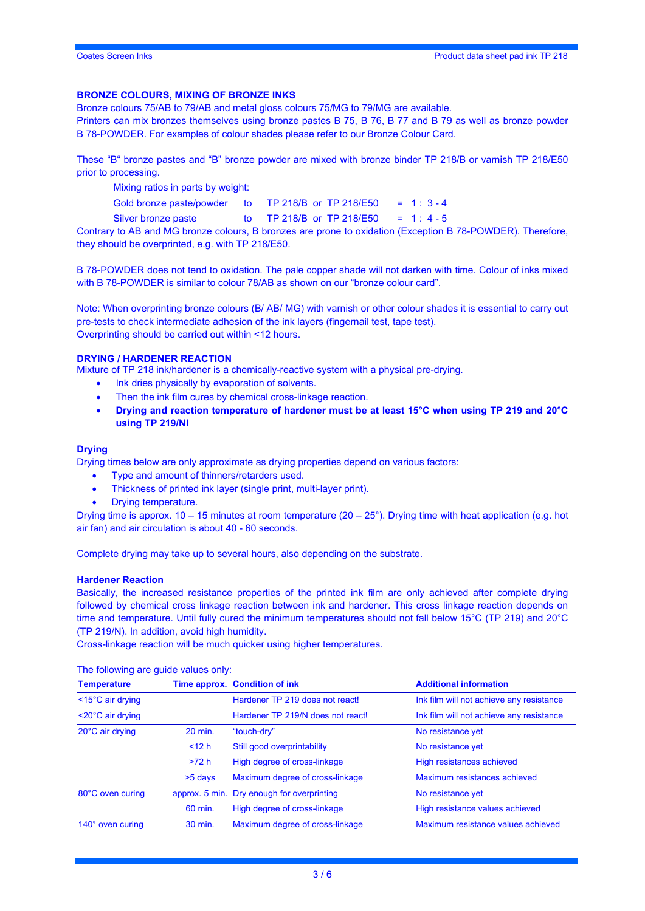# **BRONZE COLOURS, MIXING OF BRONZE INKS**

Bronze colours 75/AB to 79/AB and metal gloss colours 75/MG to 79/MG are available.

Printers can mix bronzes themselves using bronze pastes B 75, B 76, B 77 and B 79 as well as bronze powder B 78-POWDER. For examples of colour shades please refer to our Bronze Colour Card.

These "B" bronze pastes and "B" bronze powder are mixed with bronze binder TP 218/B or varnish TP 218/E50 prior to processing.

Mixing ratios in parts by weight:

Gold bronze paste/powder to TP 218/B or TP 218/E50 =  $1:3-4$ 

Silver bronze paste to TP 218/B or TP 218/E50 = 1: $4 - 5$ 

Contrary to AB and MG bronze colours, B bronzes are prone to oxidation (Exception B 78-POWDER). Therefore, they should be overprinted, e.g. with TP 218/E50.

B 78-POWDER does not tend to oxidation. The pale copper shade will not darken with time. Colour of inks mixed with B 78-POWDER is similar to colour 78/AB as shown on our "bronze colour card".

Note: When overprinting bronze colours (B/ AB/ MG) with varnish or other colour shades it is essential to carry out pre-tests to check intermediate adhesion of the ink layers (fingernail test, tape test). Overprinting should be carried out within <12 hours.

#### **DRYING / HARDENER REACTION**

Mixture of TP 218 ink/hardener is a chemically-reactive system with a physical pre-drying.

- Ink dries physically by evaporation of solvents.
- Then the ink film cures by chemical cross-linkage reaction.
- **Drying and reaction temperature of hardener must be at least 15°C when using TP 219 and 20°C using TP 219/N!**

#### **Drying**

Drying times below are only approximate as drying properties depend on various factors:

- Type and amount of thinners/retarders used.
- Thickness of printed ink layer (single print, multi-layer print).
- Drying temperature.

Drying time is approx.  $10 - 15$  minutes at room temperature  $(20 - 25^{\circ})$ . Drying time with heat application (e.g. hot air fan) and air circulation is about 40 - 60 seconds.

Complete drying may take up to several hours, also depending on the substrate.

#### **Hardener Reaction**

Basically, the increased resistance properties of the printed ink film are only achieved after complete drying followed by chemical cross linkage reaction between ink and hardener. This cross linkage reaction depends on time and temperature. Until fully cured the minimum temperatures should not fall below 15°C (TP 219) and 20°C (TP 219/N). In addition, avoid high humidity.

Cross-linkage reaction will be much quicker using higher temperatures.

**Temperature Time approx.** Condition of ink **Additional information** <15°C air drying Hardener TP 219 does not react! Ink film will not achieve any resistance <20°C air drying Hardener TP 219/N does not react! Ink film will not achieve any resistance 20°C air drying 20 min. "touch-dry" No resistance yet <12 h Still good overprintability No resistance yet >72 h High degree of cross-linkage High resistances achieved >5 days Maximum degree of cross-linkage Maximum resistances achieved 80°C oven curing approx. 5 min. Dry enough for overprinting No resistance yet 60 min. High degree of cross-linkage High resistance values achieved 140° oven curing 30 min. Maximum degree of cross-linkage Maximum resistance values achieved

The following are guide values only: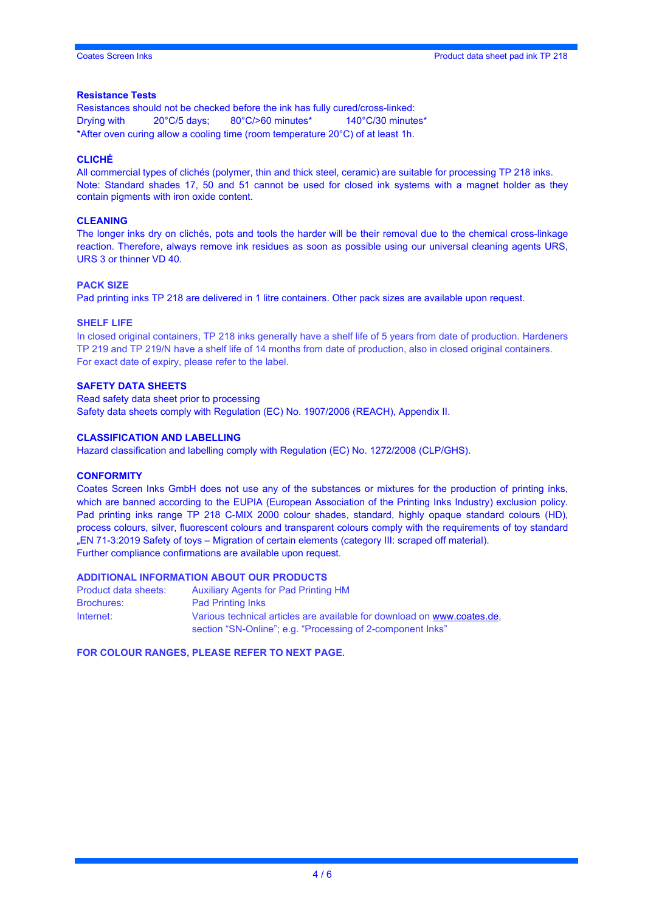#### **Resistance Tests**

Resistances should not be checked before the ink has fully cured/cross-linked: Drying with 20°C/5 days; 80°C/>60 minutes\* 140°C/30 minutes\* \*After oven curing allow a cooling time (room temperature 20°C) of at least 1h.

# **CLICHÉ**

All commercial types of clichés (polymer, thin and thick steel, ceramic) are suitable for processing TP 218 inks. Note: Standard shades 17, 50 and 51 cannot be used for closed ink systems with a magnet holder as they contain pigments with iron oxide content.

#### **CLEANING**

The longer inks dry on clichés, pots and tools the harder will be their removal due to the chemical cross-linkage reaction. Therefore, always remove ink residues as soon as possible using our universal cleaning agents URS, URS 3 or thinner VD 40.

#### **PACK SIZE**

Pad printing inks TP 218 are delivered in 1 litre containers. Other pack sizes are available upon request.

#### **SHELF LIFE**

In closed original containers, TP 218 inks generally have a shelf life of 5 years from date of production. Hardeners TP 219 and TP 219/N have a shelf life of 14 months from date of production, also in closed original containers. For exact date of expiry, please refer to the label.

#### **SAFETY DATA SHEETS**

Read safety data sheet prior to processing Safety data sheets comply with Regulation (EC) No. 1907/2006 (REACH), Appendix II.

#### **CLASSIFICATION AND LABELLING**

Hazard classification and labelling comply with Regulation (EC) No. 1272/2008 (CLP/GHS).

#### **CONFORMITY**

Coates Screen Inks GmbH does not use any of the substances or mixtures for the production of printing inks, which are banned according to the EUPIA (European Association of the Printing Inks Industry) exclusion policy. Pad printing inks range TP 218 C-MIX 2000 colour shades, standard, highly opaque standard colours (HD), process colours, silver, fluorescent colours and transparent colours comply with the requirements of toy standard "EN 71-3:2019 Safety of toys – Migration of certain elements (category III: scraped off material). Further compliance confirmations are available upon request.

#### **ADDITIONAL INFORMATION ABOUT OUR PRODUCTS**

| Product data sheets: | <b>Auxiliary Agents for Pad Printing HM</b>                             |
|----------------------|-------------------------------------------------------------------------|
| <b>Brochures:</b>    | <b>Pad Printing Inks</b>                                                |
| Internet:            | Various technical articles are available for download on www.coates.de. |
|                      | section "SN-Online"; e.g. "Processing of 2-component lnks"              |

**FOR COLOUR RANGES, PLEASE REFER TO NEXT PAGE.**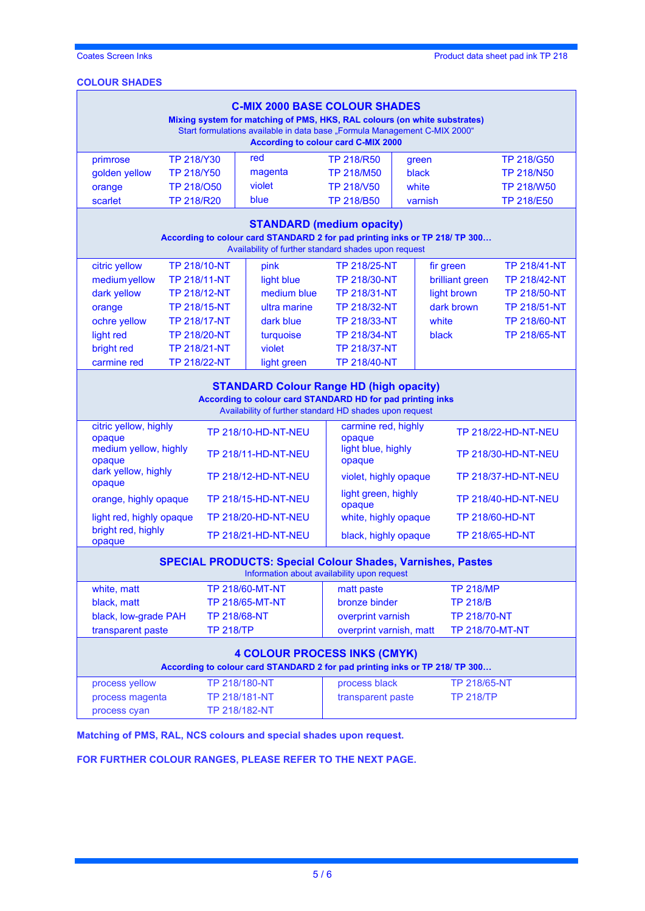# **COLOUR SHADES**

| <b>C-MIX 2000 BASE COLOUR SHADES</b><br>Mixing system for matching of PMS, HKS, RAL colours (on white substrates)<br>Start formulations available in data base "Formula Management C-MIX 2000"<br><b>According to colour card C-MIX 2000</b> |                     |                            |                               |                                                             |                  |                            |  |
|----------------------------------------------------------------------------------------------------------------------------------------------------------------------------------------------------------------------------------------------|---------------------|----------------------------|-------------------------------|-------------------------------------------------------------|------------------|----------------------------|--|
| primrose                                                                                                                                                                                                                                     | TP 218/Y30          | red                        | <b>TP 218/R50</b>             |                                                             | green            | <b>TP 218/G50</b>          |  |
| golden yellow                                                                                                                                                                                                                                | TP 218/Y50          | magenta                    | <b>TP 218/M50</b>             |                                                             | black            | <b>TP 218/N50</b>          |  |
| orange                                                                                                                                                                                                                                       | TP 218/050          | violet                     | TP 218/V50                    |                                                             | white            | <b>TP 218/W50</b>          |  |
| scarlet                                                                                                                                                                                                                                      | <b>TP 218/R20</b>   | blue                       | <b>TP 218/B50</b>             |                                                             | varnish          | <b>TP 218/E50</b>          |  |
| <b>STANDARD (medium opacity)</b><br>According to colour card STANDARD 2 for pad printing inks or TP 218/ TP 300<br>Availability of further standard shades upon request                                                                      |                     |                            |                               |                                                             |                  |                            |  |
| citric yellow                                                                                                                                                                                                                                | <b>TP 218/10-NT</b> | pink                       | TP 218/25-NT                  |                                                             | fir green        | <b>TP 218/41-NT</b>        |  |
| medium yellow                                                                                                                                                                                                                                | <b>TP 218/11-NT</b> | light blue                 | TP 218/30-NT                  |                                                             | brilliant green  | TP 218/42-NT               |  |
| dark yellow                                                                                                                                                                                                                                  | TP 218/12-NT        | medium blue                | TP 218/31-NT                  |                                                             | light brown      | TP 218/50-NT               |  |
| orange                                                                                                                                                                                                                                       | TP 218/15-NT        | ultra marine               | TP 218/32-NT                  |                                                             | dark brown       | <b>TP 218/51-NT</b>        |  |
| ochre yellow                                                                                                                                                                                                                                 | <b>TP 218/17-NT</b> | dark blue                  | TP 218/33-NT                  |                                                             | white            | TP 218/60-NT               |  |
| light red                                                                                                                                                                                                                                    | <b>TP 218/20-NT</b> | turquoise                  | <b>TP 218/34-NT</b>           |                                                             | black            | TP 218/65-NT               |  |
| bright red                                                                                                                                                                                                                                   | <b>TP 218/21-NT</b> | violet                     | <b>TP 218/37-NT</b>           |                                                             |                  |                            |  |
| carmine red                                                                                                                                                                                                                                  | <b>TP 218/22-NT</b> | light green                | TP 218/40-NT                  |                                                             |                  |                            |  |
| <b>STANDARD Colour Range HD (high opacity)</b><br>According to colour card STANDARD HD for pad printing inks<br>Availability of further standard HD shades upon request                                                                      |                     |                            |                               |                                                             |                  |                            |  |
| citric yellow, highly<br><b>TP 218/10-HD-NT-NEU</b>                                                                                                                                                                                          |                     |                            |                               | carmine red, highly<br><b>TP 218/22-HD-NT-NEU</b><br>opaque |                  |                            |  |
| opaque<br>medium yellow, highly<br>opaque                                                                                                                                                                                                    |                     | <b>TP 218/11-HD-NT-NEU</b> | light blue, highly<br>opaque  |                                                             |                  | <b>TP 218/30-HD-NT-NEU</b> |  |
| dark yellow, highly<br>opaque                                                                                                                                                                                                                |                     | TP 218/12-HD-NT-NEU        | violet, highly opaque         |                                                             |                  | TP 218/37-HD-NT-NEU        |  |
| orange, highly opaque                                                                                                                                                                                                                        |                     | TP 218/15-HD-NT-NEU        | light green, highly<br>opaque |                                                             |                  | <b>TP 218/40-HD-NT-NEU</b> |  |
| light red, highly opaque                                                                                                                                                                                                                     |                     | TP 218/20-HD-NT-NEU        | white, highly opaque          |                                                             |                  | TP 218/60-HD-NT            |  |
| bright red, highly<br>opaque                                                                                                                                                                                                                 |                     | <b>TP 218/21-HD-NT-NEU</b> | black, highly opaque          |                                                             | TP 218/65-HD-NT  |                            |  |
| <b>SPECIAL PRODUCTS: Special Colour Shades, Varnishes, Pastes</b><br>Information about availability upon request                                                                                                                             |                     |                            |                               |                                                             |                  |                            |  |
| white, matt                                                                                                                                                                                                                                  |                     | TP 218/60-MT-NT            | matt paste                    |                                                             | <b>TP 218/MP</b> |                            |  |
| black, matt                                                                                                                                                                                                                                  |                     | <b>TP 218/65-MT-NT</b>     | bronze binder                 |                                                             | <b>TP 218/B</b>  |                            |  |
| black, low-grade PAH<br>TP 218/68-NT                                                                                                                                                                                                         |                     |                            | overprint varnish             |                                                             |                  | TP 218/70-NT               |  |
| transparent paste<br><b>TP 218/TP</b><br>overprint varnish, matt<br>TP 218/70-MT-NT                                                                                                                                                          |                     |                            |                               |                                                             |                  |                            |  |
| <b>4 COLOUR PROCESS INKS (CMYK)</b><br>According to colour card STANDARD 2 for pad printing inks or TP 218/ TP 300                                                                                                                           |                     |                            |                               |                                                             |                  |                            |  |
| process yellow                                                                                                                                                                                                                               |                     | TP 218/180-NT              | process black                 |                                                             | TP 218/65-NT     |                            |  |
| process magenta                                                                                                                                                                                                                              |                     | TP 218/181-NT              | transparent paste             |                                                             | <b>TP 218/TP</b> |                            |  |
| process cyan                                                                                                                                                                                                                                 |                     | TP 218/182-NT              |                               |                                                             |                  |                            |  |

**Matching of PMS, RAL, NCS colours and special shades upon request.**

**FOR FURTHER COLOUR RANGES, PLEASE REFER TO THE NEXT PAGE.**